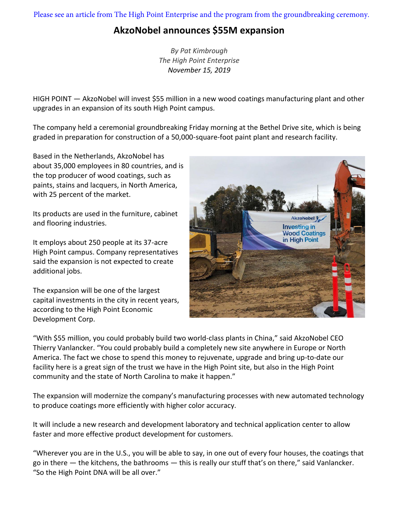Please see an article from The High Point Enterprise and the program from the groundbreaking ceremony.

### **AkzoNobel announces \$55M expansion**

*By Pat Kimbrough The High Point Enterprise November 15, 2019*

HIGH POINT — AkzoNobel will invest \$55 million in a new wood coatings manufacturing plant and other upgrades in an expansion of its south High Point campus.

The company held a ceremonial groundbreaking Friday morning at the Bethel Drive site, which is being graded in preparation for construction of a 50,000-square-foot paint plant and research facility.

Based in the Netherlands, AkzoNobel has about 35,000 employees in 80 countries, and is the top producer of wood coatings, such as paints, stains and lacquers, in North America, with 25 percent of the market.

Its products are used in the furniture, cabinet and flooring industries.

It employs about 250 people at its 37-acre High Point campus. Company representatives said the expansion is not expected to create additional jobs.

The expansion will be one of the largest capital investments in the city in recent years, according to the High Point Economic Development Corp.



"With \$55 million, you could probably build two world-class plants in China," said AkzoNobel CEO Thierry Vanlancker. "You could probably build a completely new site anywhere in Europe or North America. The fact we chose to spend this money to rejuvenate, upgrade and bring up-to-date our facility here is a great sign of the trust we have in the High Point site, but also in the High Point community and the state of North Carolina to make it happen."

The expansion will modernize the company's manufacturing processes with new automated technology to produce coatings more efficiently with higher color accuracy.

It will include a new research and development laboratory and technical application center to allow faster and more effective product development for customers.

"Wherever you are in the U.S., you will be able to say, in one out of every four houses, the coatings that go in there — the kitchens, the bathrooms — this is really our stuff that's on there," said Vanlancker. "So the High Point DNA will be all over."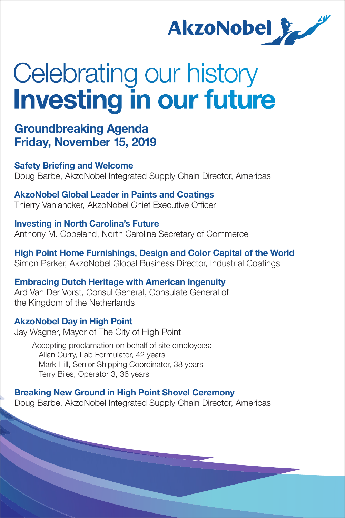

# Celebrating our history Investing in our future

Groundbreaking Agenda Friday, November 15, 2019

**Safety Briefing and Welcome** Doug Barbe, AkzoNobel Integrated Supply Chain Director, Americas

AkzoNobel Global Leader in Paints and Coatings Thierry Vanlancker, AkzoNobel Chief Executive Officer

Investing in North Carolina's Future Anthony M. Copeland, North Carolina Secretary of Commerce

High Point Home Furnishings, Design and Color Capital of the World Simon Parker, AkzoNobel Global Business Director, Industrial Coatings

Embracing Dutch Heritage with American Ingenuity Ard Van Der Vorst, Consul General, Consulate General of the Kingdom of the Netherlands

### AkzoNobel Day in High Point

Jay Wagner, Mayor of The City of High Point

 Accepting proclamation on behalf of site employees: Allan Curry, Lab Formulator, 42 years Mark Hill, Senior Shipping Coordinator, 38 years Terry Biles, Operator 3, 36 years

Breaking New Ground in High Point Shovel Ceremony Doug Barbe, AkzoNobel Integrated Supply Chain Director, Americas